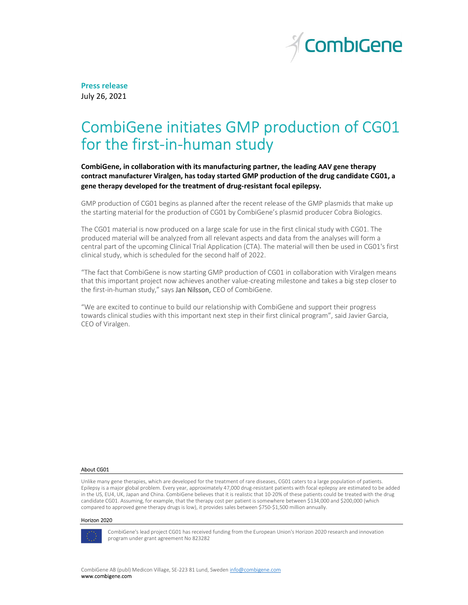

Press release July 26, 2021

# CombiGene initiates GMP production of CG01 for the first-in-human study

CombiGene, in collaboration with its manufacturing partner, the leading AAV gene therapy contract manufacturer Viralgen, has today started GMP production of the drug candidate CG01, a gene therapy developed for the treatment of drug-resistant focal epilepsy.

GMP production of CG01 begins as planned after the recent release of the GMP plasmids that make up the starting material for the production of CG01 by CombiGene's plasmid producer Cobra Biologics.

The CG01 material is now produced on a large scale for use in the first clinical study with CG01. The produced material will be analyzed from all relevant aspects and data from the analyses will form a central part of the upcoming Clinical Trial Application (CTA). The material will then be used in CG01's first clinical study, which is scheduled for the second half of 2022.

"The fact that CombiGene is now starting GMP production of CG01 in collaboration with Viralgen means that this important project now achieves another value-creating milestone and takes a big step closer to the first-in-human study," says Jan Nilsson, CEO of CombiGene.

"We are excited to continue to build our relationship with CombiGene and support their progress towards clinical studies with this important next step in their first clinical program", said Javier Garcia, CEO of Viralgen.

# About CG01

Unlike many gene therapies, which are developed for the treatment of rare diseases, CG01 caters to a large population of patients. Epilepsy is a major global problem. Every year, approximately 47,000 drug-resistant patients with focal epilepsy are estimated to be added in the US, EU4, UK, Japan and China. CombiGene believes that it is realistic that 10-20% of these patients could be treated with the drug candidate CG01. Assuming, for example, that the therapy cost per patient is somewhere between \$134,000 and \$200,000 (which compared to approved gene therapy drugs is low), it provides sales between \$750-\$1,500 million annually.

#### Horizon 2020



CombiGene's lead project CG01 has received funding from the European Union's Horizon 2020 research and innovation program under grant agreement No 823282